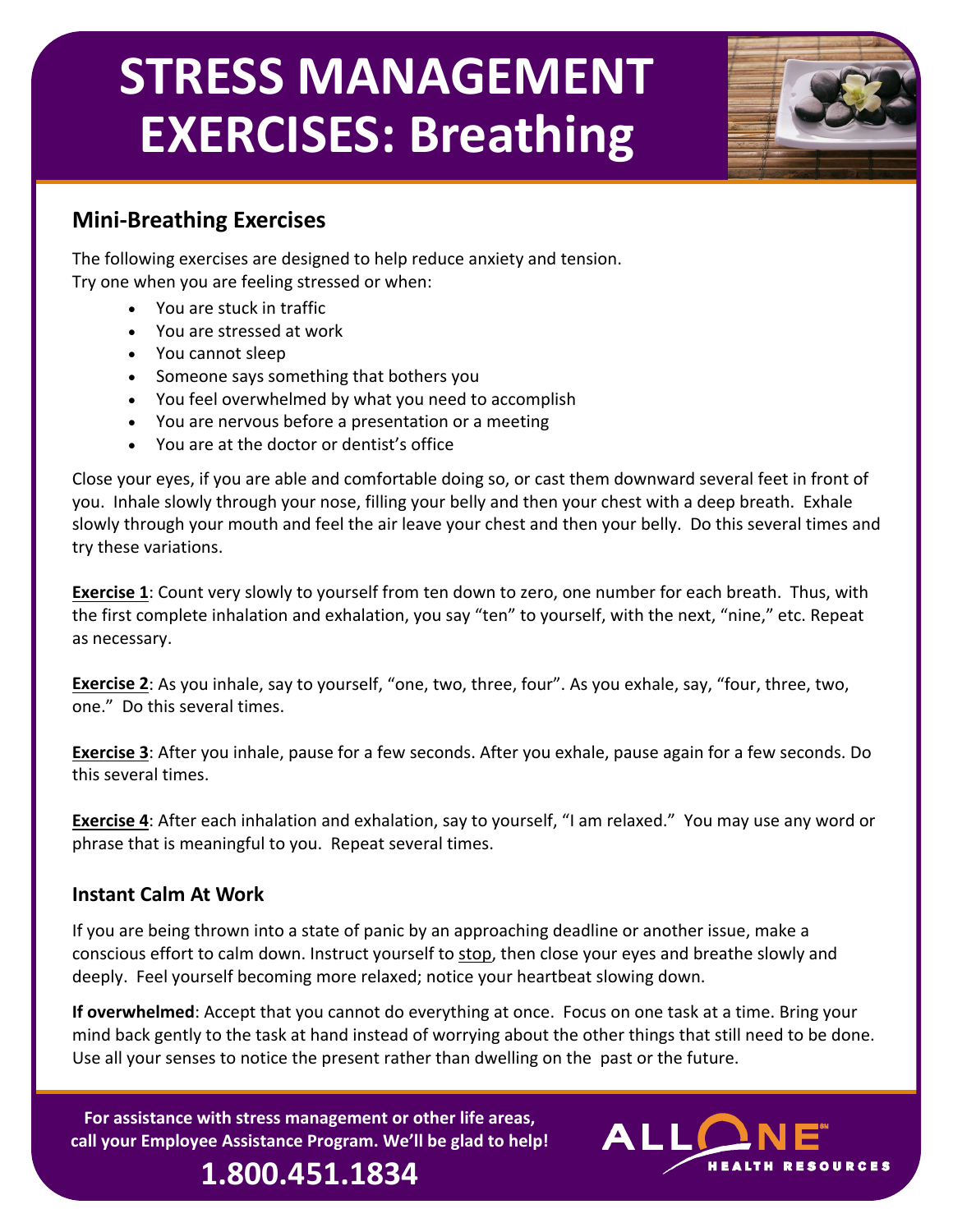# **STRESS MANAGEMENT EXERCISES: Breathing**



### **Mini‐Breathing Exercises**

The following exercises are designed to help reduce anxiety and tension. Try one when you are feeling stressed or when:

- You are stuck in traffic
- You are stressed at work
- You cannot sleep
- Someone says something that bothers you
- You feel overwhelmed by what you need to accomplish
- You are nervous before a presentation or a meeting
- You are at the doctor or dentist's office

Close your eyes, if you are able and comfortable doing so, or cast them downward several feet in front of you. Inhale slowly through your nose, filling your belly and then your chest with a deep breath. Exhale slowly through your mouth and feel the air leave your chest and then your belly. Do this several times and try these variations.

**Exercise 1**: Count very slowly to yourself from ten down to zero, one number for each breath. Thus, with the first complete inhalation and exhalation, you say "ten" to yourself, with the next, "nine," etc. Repeat as necessary.

**Exercise 2**: As you inhale, say to yourself, "one, two, three, four". As you exhale, say, "four, three, two, one." Do this several times.

**Exercise 3**: After you inhale, pause for a few seconds. After you exhale, pause again for a few seconds. Do this several times.

**Exercise 4**: After each inhalation and exhalation, say to yourself, "I am relaxed." You may use any word or phrase that is meaningful to you. Repeat several times.

#### **Instant Calm At Work**

If you are being thrown into a state of panic by an approaching deadline or another issue, make a conscious effort to calm down. Instruct yourself to stop, then close your eyes and breathe slowly and deeply. Feel yourself becoming more relaxed; notice your heartbeat slowing down.

**If overwhelmed**: Accept that you cannot do everything at once. Focus on one task at a time. Bring your mind back gently to the task at hand instead of worrying about the other things that still need to be done. Use all your senses to notice the present rather than dwelling on the past or the future.

**For assistance with stress management or other life areas, call your Employee Assistance Program. We'll be glad to help!**

**1.800.451.1834**